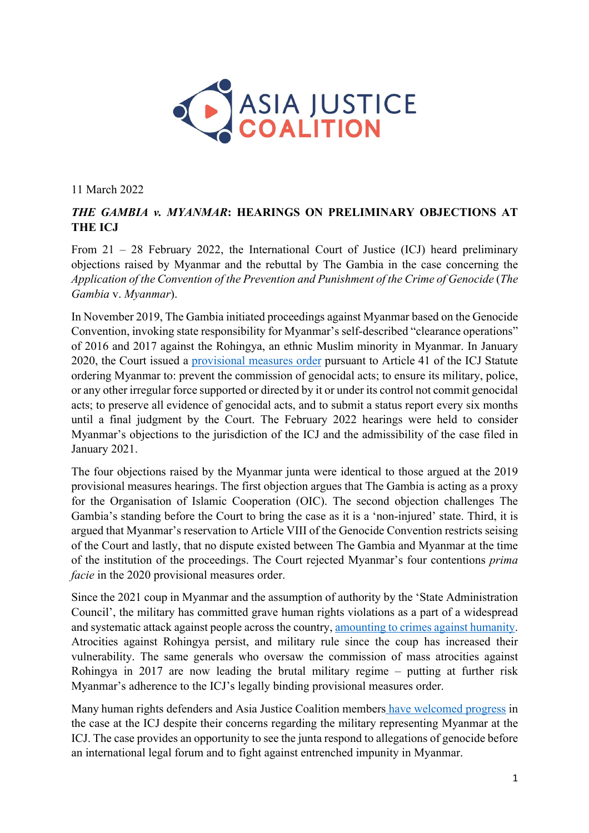

11 March 2022

## *THE GAMBIA v. MYANMAR***: HEARINGS ON PRELIMINARY OBJECTIONS AT THE ICJ**

From 21 – 28 February 2022, the International Court of Justice (ICJ) heard preliminary objections raised by Myanmar and the rebuttal by The Gambia in the case concerning the *Application of the Convention of the Prevention and Punishment of the Crime of Genocide* (*The Gambia* v. *Myanmar*).

In November 2019, The Gambia initiated proceedings against Myanmar based on the Genocide Convention, invoking state responsibility for Myanmar's self-described "clearance operations" of 2016 and 2017 against the Rohingya, an ethnic Muslim minority in Myanmar. In January 2020, the Court issued a provisional measures order pursuant to Article 41 of the ICJ Statute ordering Myanmar to: prevent the commission of genocidal acts; to ensure its military, police, or any other irregular force supported or directed by it or under its control not commit genocidal acts; to preserve all evidence of genocidal acts, and to submit a status report every six months until a final judgment by the Court. The February 2022 hearings were held to consider Myanmar's objections to the jurisdiction of the ICJ and the admissibility of the case filed in January 2021.

The four objections raised by the Myanmar junta were identical to those argued at the 2019 provisional measures hearings. The first objection argues that The Gambia is acting as a proxy for the Organisation of Islamic Cooperation (OIC). The second objection challenges The Gambia's standing before the Court to bring the case as it is a 'non-injured' state. Third, it is argued that Myanmar's reservation to Article VIII of the Genocide Convention restricts seising of the Court and lastly, that no dispute existed between The Gambia and Myanmar at the time of the institution of the proceedings. The Court rejected Myanmar's four contentions *prima facie* in the 2020 provisional measures order.

Since the 2021 coup in Myanmar and the assumption of authority by the 'State Administration Council', the military has committed grave human rights violations as a part of a widespread and systematic attack against people across the country, amounting to crimes against humanity. Atrocities against Rohingya persist, and military rule since the coup has increased their vulnerability. The same generals who oversaw the commission of mass atrocities against Rohingya in 2017 are now leading the brutal military regime – putting at further risk Myanmar's adherence to the ICJ's legally binding provisional measures order.

Many human rights defenders and Asia Justice Coalition members have welcomed progress in the case at the ICJ despite their concerns regarding the military representing Myanmar at the ICJ. The case provides an opportunity to see the junta respond to allegations of genocide before an international legal forum and to fight against entrenched impunity in Myanmar.